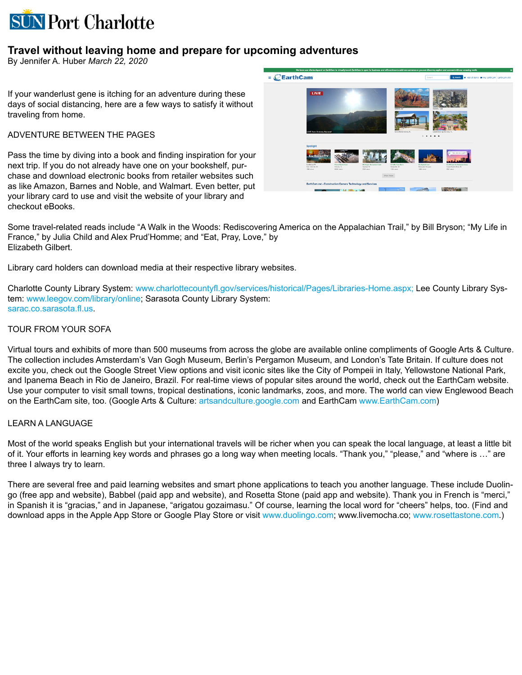# **SUN Port Charlotte**

## **Travel without leaving home and prepare for upcoming adventures**

By Jennifer A. Huber *March 22, 2020*

If your wanderlust gene is itching for an adventure during these days of social distancing, here are a few ways to satisfy it without traveling from home.

### ADVENTURE BETWEEN THE PAGES

Pass the time by diving into a book and finding inspiration for your next trip. If you do not already have one on your bookshelf, purchase and download electronic books from retailer websites such as like Amazon, Barnes and Noble, and Walmart. Even better, put your library card to use and visit the website of your library and checkout eBooks.



Some travel-related reads include "A Walk in the Woods: Rediscovering America on the Appalachian Trail," by Bill Bryson; "My Life in France," by Julia Child and Alex Prud'Homme; and "Eat, Pray, Love," by Elizabeth Gilbert.

Library card holders can download media at their respective library websites.

Charlotte County Library System: [www.charlottecountyfl.gov/services/historical/Pages/Libraries-Home.aspx;](https://www.charlottecountyfl.gov/services/historical/Pages/Libraries-Home.aspx) Lee County Library System: [www.leegov.com/library/online](http://www.leegov.com/library/online); Sarasota County Library System: [sarac.co.sarasota.fl.us](https://sarac.co.sarasota.fl.us/).

#### TOUR FROM YOUR SOFA

Virtual tours and exhibits of more than 500 museums from across the globe are available online compliments of Google Arts & Culture. The collection includes Amsterdam's Van Gogh Museum, Berlin's Pergamon Museum, and London's Tate Britain. If culture does not excite you, check out the Google Street View options and visit iconic sites like the City of Pompeii in Italy, Yellowstone National Park, and Ipanema Beach in Rio de Janeiro, Brazil. For real-time views of popular sites around the world, check out the EarthCam website. Use your computer to visit small towns, tropical destinations, iconic landmarks, zoos, and more. The world can view Englewood Beach on the EarthCam site, too. (Google Arts & Culture: [artsandculture.google.com](https://artsandculture.google.com/) and EarthCam [www.EarthCam.com](https://www.earthcam.com/))

#### LEARN A LANGUAGE

Most of the world speaks English but your international travels will be richer when you can speak the local language, at least a little bit of it. Your efforts in learning key words and phrases go a long way when meeting locals. "Thank you," "please," and "where is …" are three I always try to learn.

There are several free and paid learning websites and smart phone applications to teach you another language. These include Duolingo (free app and website), Babbel (paid app and website), and Rosetta Stone (paid app and website). Thank you in French is "merci," in Spanish it is "gracias," and in Japanese, "arigatou gozaimasu." Of course, learning the local word for "cheers" helps, too. (Find and download apps in the Apple App Store or Google Play Store or visit [www.duolingo.com](https://www.duolingo.com/); www.livemocha.co; [www.rosettastone.com](https://www.rosettastone.com/).)